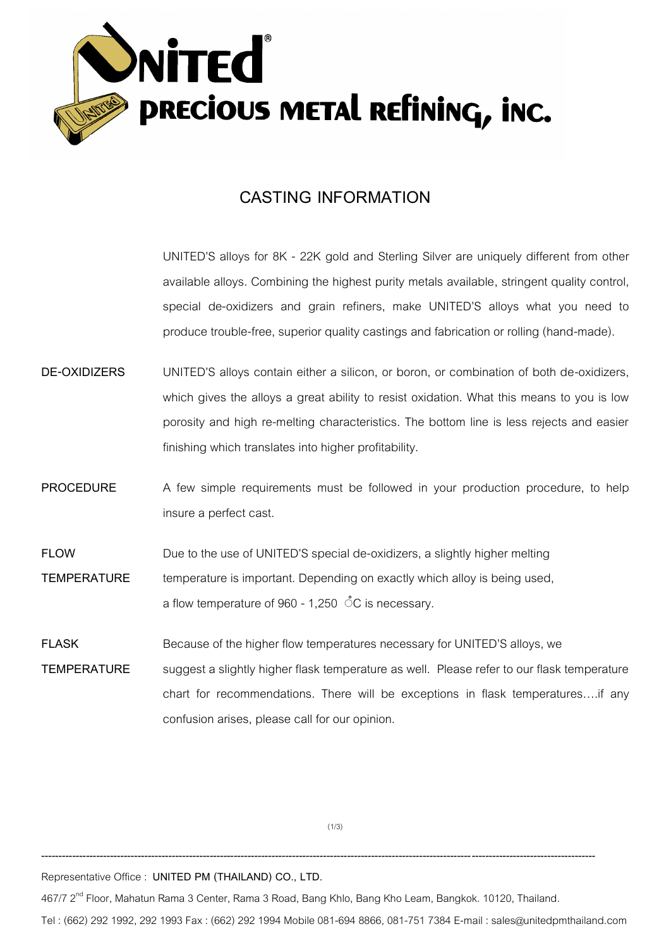

## **CASTING INFORMATION**

UNITED'S alloys for 8K - 22K gold and Sterling Silver are uniquely different from other available alloys. Combining the highest purity metals available, stringent quality control, special de-oxidizers and grain refiners, make UNITED'S alloys what you need to produce trouble-free, superior quality castings and fabrication or rolling (hand-made).

- **DE-OXIDIZERS** UNITED'S alloys contain either a silicon, or boron, or combination of both de-oxidizers, which gives the alloys a great ability to resist oxidation. What this means to you is low porosity and high re-melting characteristics. The bottom line is less rejects and easier finishing which translates into higher profitability.
- **PROCEDURE** A few simple requirements must be followed in your production procedure, to help insure a perfect cast.
- **FLOW** Due to the use of UNITED'S special de-oxidizers, a slightly higher melting **TEMPERATURE** temperature is important. Depending on exactly which alloy is being used, a flow temperature of 960 - 1,250 °C is necessary.
- **FLASK** Because of the higher flow temperatures necessary for UNITED'S alloys, we **TEMPERATURE** suggest a slightly higher flask temperature as well. Please refer to our flask temperature chart for recommendations. There will be exceptions in flask temperatures….if any confusion arises, please call for our opinion.

(1/3)

**-----------------------------------------------------------------------------------------------------------------------------------------------------------------**

Representative Office : **UNITED PM (THAILAND) CO., LTD.**

467/7 2<sup>nd</sup> Floor, Mahatun Rama 3 Center, Rama 3 Road, Bang Khlo, Bang Kho Leam, Bangkok. 10120, Thailand.

Tel : (662) 292 1992, 292 1993 Fax : (662) 292 1994 Mobile 081-694 8866, 081-751 7384 E-mail : sales@unitedpmthailand.com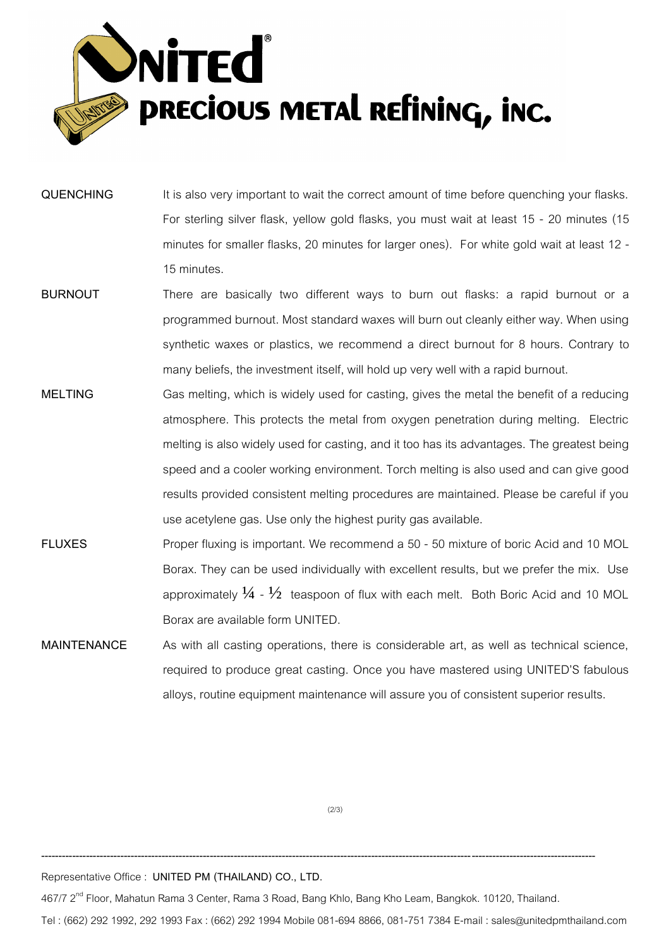

- **QUENCHING** It is also very important to wait the correct amount of time before quenching your flasks. For sterling silver flask, yellow gold flasks, you must wait at least 15 - 20 minutes (15 minutes for smaller flasks, 20 minutes for larger ones). For white gold wait at least 12 - 15 minutes.
- **BURNOUT** There are basically two different ways to burn out flasks: a rapid burnout or a programmed burnout. Most standard waxes will burn out cleanly either way. When using synthetic waxes or plastics, we recommend a direct burnout for 8 hours. Contrary to many beliefs, the investment itself, will hold up very well with a rapid burnout.
- **MELTING** Gas melting, which is widely used for casting, gives the metal the benefit of a reducing atmosphere. This protects the metal from oxygen penetration during melting. Electric melting is also widely used for casting, and it too has its advantages. The greatest being speed and a cooler working environment. Torch melting is also used and can give good results provided consistent melting procedures are maintained. Please be careful if you use acetylene gas. Use only the highest purity gas available.
- **FLUXES** Proper fluxing is important. We recommend a 50 50 mixture of boric Acid and 10 MOL Borax. They can be used individually with excellent results, but we prefer the mix. Use approximately  $\frac{1}{4}$  -  $\frac{1}{2}$  teaspoon of flux with each melt. Both Boric Acid and 10 MOL Borax are available form UNITED.
- **MAINTENANCE** As with all casting operations, there is considerable art, as well as technical science, required to produce great casting. Once you have mastered using UNITED'S fabulous alloys, routine equipment maintenance will assure you of consistent superior results.

 $(2/3)$ 

**-----------------------------------------------------------------------------------------------------------------------------------------------------------------**

Representative Office : **UNITED PM (THAILAND) CO., LTD.**

467/7 2<sup>nd</sup> Floor, Mahatun Rama 3 Center, Rama 3 Road, Bang Khlo, Bang Kho Leam, Bangkok. 10120, Thailand.

Tel : (662) 292 1992, 292 1993 Fax : (662) 292 1994 Mobile 081-694 8866, 081-751 7384 E-mail : sales@unitedpmthailand.com